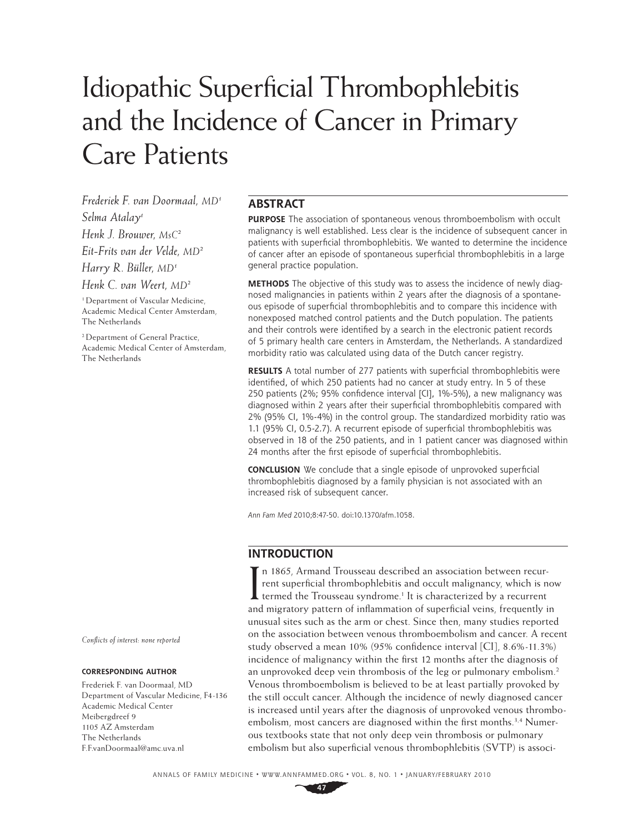# Idiopathic Superficial Thrombophlebitis and the Incidence of Cancer in Primary Care Patients

*Frederiek F. van Doormaal, MD1 Selma Atalay1 Henk J. Brouwer, MsC2 Eit-Frits van der Velde, MD2 Harry R. Büller, MD1 Henk C. van Weert, MD2*

<sup>1</sup>Department of Vascular Medicine, Academic Medical Center Amsterdam, The Netherlands

2 Department of General Practice, Academic Medical Center of Amsterdam, The Netherlands

*Confl icts of interest: none reported*

#### **CORRESPONDING AUTHOR**

Frederiek F. van Doormaal, MD Department of Vascular Medicine, F4-136 Academic Medical Center Meibergdreef 9 1105 AZ Amsterdam The Netherlands F.F.vanDoormaal@amc.uva.nl

# **ABSTRACT**

**PURPOSE** The association of spontaneous venous thromboembolism with occult malignancy is well established. Less clear is the incidence of subsequent cancer in patients with superficial thrombophlebitis. We wanted to determine the incidence of cancer after an episode of spontaneous superficial thrombophlebitis in a large general practice population.

**METHODS** The objective of this study was to assess the incidence of newly diagnosed malignancies in patients within 2 years after the diagnosis of a spontaneous episode of superficial thrombophlebitis and to compare this incidence with nonexposed matched control patients and the Dutch population. The patients and their controls were identified by a search in the electronic patient records of 5 primary health care centers in Amsterdam, the Netherlands. A standardized morbidity ratio was calculated using data of the Dutch cancer registry.

**RESULTS** A total number of 277 patients with superficial thrombophlebitis were identified, of which 250 patients had no cancer at study entry. In 5 of these 250 patients (2%; 95% confidence interval [CI], 1%-5%), a new malignancy was diagnosed within 2 years after their superficial thrombophlebitis compared with 2% (95% CI, 1%-4%) in the control group. The standardized morbidity ratio was 1.1 (95% CI, 0.5-2.7). A recurrent episode of superficial thrombophlebitis was observed in 18 of the 250 patients, and in 1 patient cancer was diagnosed within 24 months after the first episode of superficial thrombophlebitis.

**CONCLUSION** We conclude that a single episode of unprovoked superficial thrombophlebitis diagnosed by a family physician is not associated with an increased risk of subsequent cancer.

Ann Fam Med 2010;8:47-50. doi:10.1370/afm.1058.

# **INTRODUCTION**

In 1865, Armand Trousseau described an association between recurrent superficial thrombophlebitis and occult malignancy, which is n<br>termed the Trousseau syndrome.<sup>1</sup> It is characterized by a recurrent rent superficial thrombophlebitis and occult malignancy, which is now termed the Trousseau syndrome.<sup>1</sup> It is characterized by a recurrent and migratory pattern of inflammation of superficial veins, frequently in unusual sites such as the arm or chest. Since then, many studies reported on the association between venous thromboembolism and cancer. A recent study observed a mean 10% (95% confidence interval [CI], 8.6%-11.3%) incidence of malignancy within the first 12 months after the diagnosis of an unprovoked deep vein thrombosis of the leg or pulmonary embolism.<sup>2</sup> Venous thromboembolism is believed to be at least partially provoked by the still occult cancer. Although the incidence of newly diagnosed cancer is increased until years after the diagnosis of unprovoked venous thromboembolism, most cancers are diagnosed within the first months.<sup>3,4</sup> Numerous textbooks state that not only deep vein thrombosis or pulmonary embolism but also superficial venous thrombophlebitis (SVTP) is associ-

ANNALS OF FAMILY MEDICINE ✦ WWW.ANNFAMMED.ORG ✦ VOL. 8, NO. 1 ✦ JANUARY/FEBRUARY 2010

**47**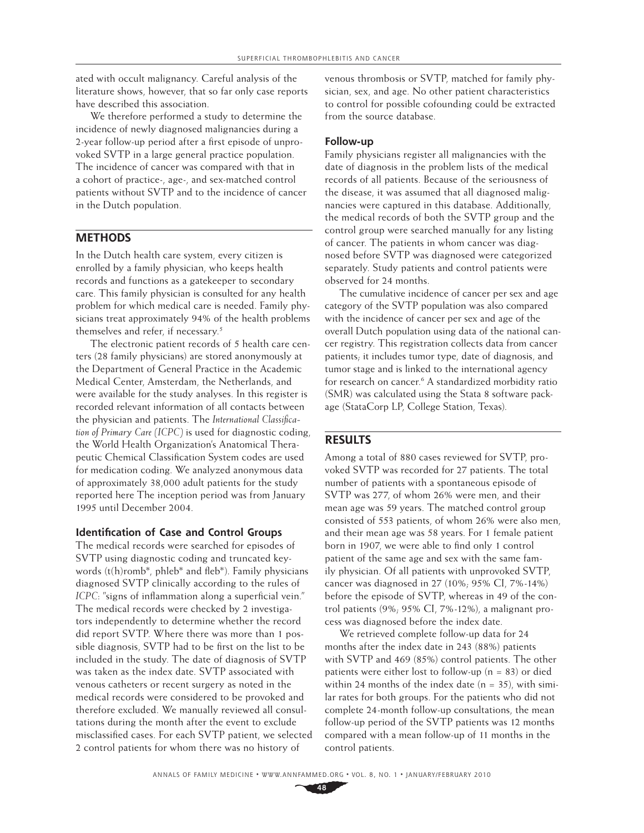ated with occult malignancy. Careful analysis of the literature shows, however, that so far only case reports have described this association.

We therefore performed a study to determine the incidence of newly diagnosed malignancies during a 2-year follow-up period after a first episode of unprovoked SVTP in a large general practice population. The incidence of cancer was compared with that in a cohort of practice-, age-, and sex-matched control patients without SVTP and to the incidence of cancer in the Dutch population.

## **METHODS**

In the Dutch health care system, every citizen is enrolled by a family physician, who keeps health records and functions as a gatekeeper to secondary care. This family physician is consulted for any health problem for which medical care is needed. Family physicians treat approximately 94% of the health problems themselves and refer, if necessary.<sup>5</sup>

The electronic patient records of 5 health care centers (28 family physicians) are stored anonymously at the Department of General Practice in the Academic Medical Center, Amsterdam, the Netherlands, and were available for the study analyses. In this register is recorded relevant information of all contacts between the physician and patients. The *International Classification of Primary Care (ICPC)* is used for diagnostic coding, the World Health Organization's Anatomical Therapeutic Chemical Classification System codes are used for medication coding. We analyzed anonymous data of approximately 38,000 adult patients for the study reported here The inception period was from January 1995 until December 2004.

#### **Identification of Case and Control Groups**

The medical records were searched for episodes of SVTP using diagnostic coding and truncated keywords (t(h)romb\*, phleb\* and fleb\*). Family physicians diagnosed SVTP clinically according to the rules of *ICPC*: "signs of inflammation along a superficial vein." The medical records were checked by 2 investigators independently to determine whether the record did report SVTP. Where there was more than 1 possible diagnosis, SVTP had to be first on the list to be included in the study. The date of diagnosis of SVTP was taken as the index date. SVTP associated with venous catheters or recent surgery as noted in the medical records were considered to be provoked and therefore excluded. We manually reviewed all consultations during the month after the event to exclude misclassified cases. For each SVTP patient, we selected 2 control patients for whom there was no history of

venous thrombosis or SVTP, matched for family physician, sex, and age. No other patient characteristics to control for possible cofounding could be extracted from the source database.

### **Follow-up**

Family physicians register all malignancies with the date of diagnosis in the problem lists of the medical records of all patients. Because of the seriousness of the disease, it was assumed that all diagnosed malignancies were captured in this database. Additionally, the medical records of both the SVTP group and the control group were searched manually for any listing of cancer. The patients in whom cancer was diagnosed before SVTP was diagnosed were categorized separately. Study patients and control patients were observed for 24 months.

The cumulative incidence of cancer per sex and age category of the SVTP population was also compared with the incidence of cancer per sex and age of the overall Dutch population using data of the national cancer registry. This registration collects data from cancer patients; it includes tumor type, date of diagnosis, and tumor stage and is linked to the international agency for research on cancer.<sup>6</sup> A standardized morbidity ratio (SMR) was calculated using the Stata 8 software package (StataCorp LP, College Station, Texas).

## **RESULTS**

Among a total of 880 cases reviewed for SVTP, provoked SVTP was recorded for 27 patients. The total number of patients with a spontaneous episode of SVTP was 277, of whom 26% were men, and their mean age was 59 years. The matched control group consisted of 553 patients, of whom 26% were also men, and their mean age was 58 years. For 1 female patient born in 1907, we were able to find only 1 control patient of the same age and sex with the same family physician. Of all patients with unprovoked SVTP, cancer was diagnosed in 27 (10%; 95% CI, 7%-14%) before the episode of SVTP, whereas in 49 of the control patients (9%; 95% CI, 7%-12%), a malignant process was diagnosed before the index date.

We retrieved complete follow-up data for 24 months after the index date in 243 (88%) patients with SVTP and 469 (85%) control patients. The other patients were either lost to follow-up ( $n = 83$ ) or died within 24 months of the index date  $(n = 35)$ , with similar rates for both groups. For the patients who did not complete 24-month follow-up consultations, the mean follow-up period of the SVTP patients was 12 months compared with a mean follow-up of 11 months in the control patients.

**48**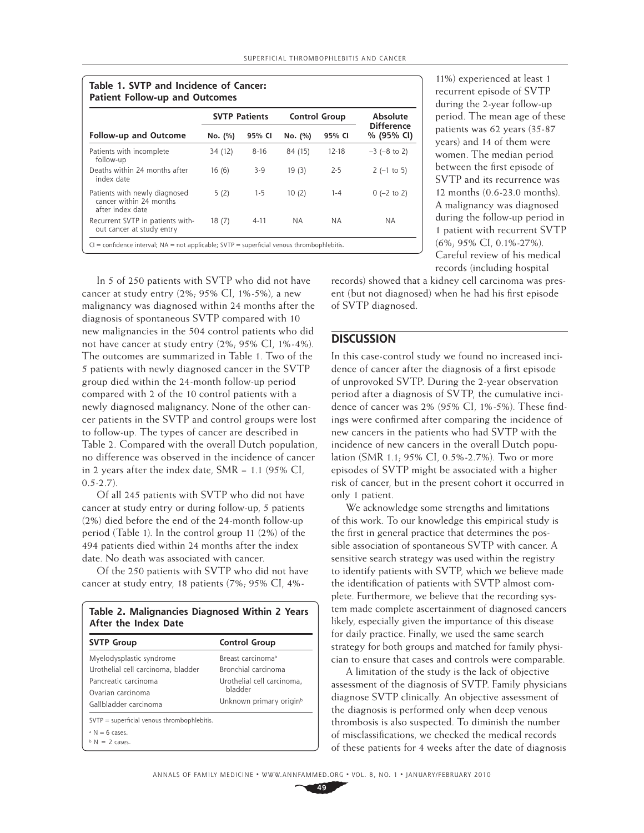| <b>Follow-up and Outcome</b>                                                 | <b>SVTP Patients</b> |          | <b>Control Group</b> |           | Absolute                        |
|------------------------------------------------------------------------------|----------------------|----------|----------------------|-----------|---------------------------------|
|                                                                              | No. (%)              | 95% CI   | No. (%)              | 95% CI    | <b>Difference</b><br>% (95% CI) |
| Patients with incomplete<br>follow-up                                        | 34 (12)              | $8 - 16$ | 84 (15)              | $12 - 18$ | $-3$ ( $-8$ to 2)               |
| Deaths within 24 months after<br>index date                                  | 16(6)                | 3-9      | 19(3)                | $2 - 5$   | $2$ (-1 to 5)                   |
| Patients with newly diagnosed<br>cancer within 24 months<br>after index date | 5(2)                 | $1-5$    | 10(2)                | $1 - 4$   | $0$ (-2 to 2)                   |
| Recurrent SVTP in patients with-<br>out cancer at study entry                | 18(7)                | $4 - 11$ | N A                  | N A       | NA.                             |

11%) experienced at least 1 recurrent episode of SVTP during the 2-year follow-up period. The mean age of these patients was 62 years (35-87 years) and 14 of them were women. The median period between the first episode of SVTP and its recurrence was 12 months (0.6-23.0 months). A malignancy was diagnosed during the follow-up period in 1 patient with recurrent SVTP (6%; 95% CI, 0.1%-27%). Careful review of his medical records (including hospital

In 5 of 250 patients with SVTP who did not have cancer at study entry (2%; 95% CI, 1%-5%), a new malignancy was diagnosed within 24 months after the diagnosis of spontaneous SVTP compared with 10 new malignancies in the 504 control patients who did not have cancer at study entry (2%; 95% CI, 1%-4%). The outcomes are summarized in Table 1. Two of the 5 patients with newly diagnosed cancer in the SVTP group died within the 24-month follow-up period compared with 2 of the 10 control patients with a newly diagnosed malignancy. None of the other cancer patients in the SVTP and control groups were lost to follow-up. The types of cancer are described in Table 2. Compared with the overall Dutch population, no difference was observed in the incidence of cancer in 2 years after the index date, SMR = 1.1 (95% CI,  $(0.5 - 2.7)$ .

Of all 245 patients with SVTP who did not have cancer at study entry or during follow-up, 5 patients (2%) died before the end of the 24-month follow-up period (Table 1). In the control group 11 (2%) of the 494 patients died within 24 months after the index date. No death was associated with cancer.

Of the 250 patients with SVTP who did not have cancer at study entry, 18 patients (7%; 95% CI, 4%-

| After the Index Date<br><b>SVTP Group</b>                                                                                            | <b>Control Group</b>                                                                                                                 |  |
|--------------------------------------------------------------------------------------------------------------------------------------|--------------------------------------------------------------------------------------------------------------------------------------|--|
| Myelodysplastic syndrome<br>Urothelial cell carcinoma, bladder<br>Pancreatic carcinoma<br>Ovarian carcinoma<br>Gallbladder carcinoma | Breast carcinoma <sup>a</sup><br>Bronchial carcinoma<br>Urothelial cell carcinoma.<br>hladder<br>Unknown primary origin <sup>b</sup> |  |
| $SVTP = superfield$ venous thrombophlebitis.<br>$\Delta$ N = 6 cases.<br>$b$ N = 2 cases.                                            |                                                                                                                                      |  |

records) showed that a kidney cell carcinoma was present (but not diagnosed) when he had his first episode of SVTP diagnosed.

## **DISCUSSION**

In this case-control study we found no increased incidence of cancer after the diagnosis of a first episode of unprovoked SVTP. During the 2-year observation period after a diagnosis of SVTP, the cumulative incidence of cancer was  $2\%$  (95% CI, 1%-5%). These findings were confirmed after comparing the incidence of new cancers in the patients who had SVTP with the incidence of new cancers in the overall Dutch population (SMR 1.1; 95% CI, 0.5%-2.7%). Two or more episodes of SVTP might be associated with a higher risk of cancer, but in the present cohort it occurred in only 1 patient.

We acknowledge some strengths and limitations of this work. To our knowledge this empirical study is the first in general practice that determines the possible association of spontaneous SVTP with cancer. A sensitive search strategy was used within the registry to identify patients with SVTP, which we believe made the identification of patients with SVTP almost complete. Furthermore, we believe that the recording system made complete ascertainment of diagnosed cancers likely, especially given the importance of this disease for daily practice. Finally, we used the same search strategy for both groups and matched for family physician to ensure that cases and controls were comparable.

A limitation of the study is the lack of objective assessment of the diagnosis of SVTP. Family physicians diagnose SVTP clinically. An objective assessment of the diagnosis is performed only when deep venous thrombosis is also suspected. To diminish the number of misclassifications, we checked the medical records of these patients for 4 weeks after the date of diagnosis